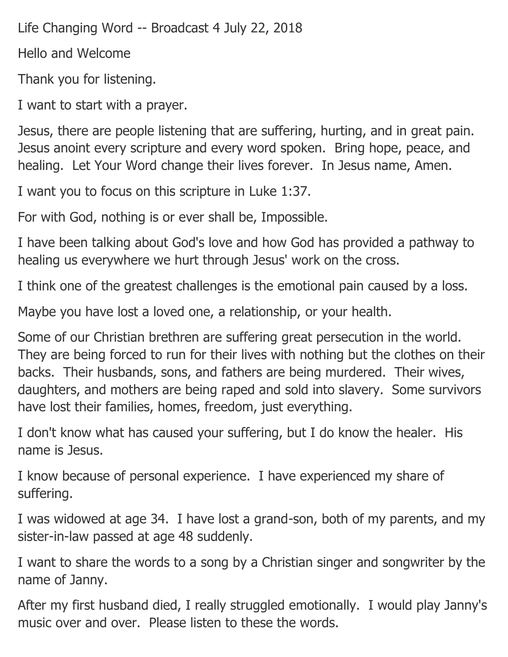Life Changing Word -- Broadcast 4 July 22, 2018

Hello and Welcome

Thank you for listening.

I want to start with a prayer.

Jesus, there are people listening that are suffering, hurting, and in great pain. Jesus anoint every scripture and every word spoken. Bring hope, peace, and healing. Let Your Word change their lives forever. In Jesus name, Amen.

I want you to focus on this scripture in Luke 1:37.

For with God, nothing is or ever shall be, Impossible.

I have been talking about God's love and how God has provided a pathway to healing us everywhere we hurt through Jesus' work on the cross.

I think one of the greatest challenges is the emotional pain caused by a loss.

Maybe you have lost a loved one, a relationship, or your health.

Some of our Christian brethren are suffering great persecution in the world. They are being forced to run for their lives with nothing but the clothes on their backs. Their husbands, sons, and fathers are being murdered. Their wives, daughters, and mothers are being raped and sold into slavery. Some survivors have lost their families, homes, freedom, just everything.

I don't know what has caused your suffering, but I do know the healer. His name is Jesus.

I know because of personal experience. I have experienced my share of suffering.

I was widowed at age 34. I have lost a grand-son, both of my parents, and my sister-in-law passed at age 48 suddenly.

I want to share the words to a song by a Christian singer and songwriter by the name of Janny.

After my first husband died, I really struggled emotionally. I would play Janny's music over and over. Please listen to these the words.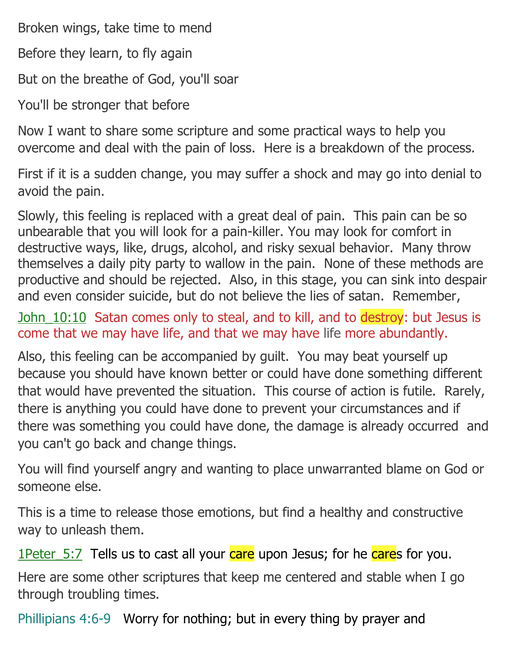Broken wings, take time to mend

Before they learn, to fly again

But on the breathe of God, you'll soar

You'll be stronger that before

Now I want to share some scripture and some practical ways to help you overcome and deal with the pain of loss. Here is a breakdown of the process.

First if it is a sudden change, you may suffer a shock and may go into denial to avoid the pain.

Slowly, this feeling is replaced with a great deal of pain. This pain can be so unbearable that you will look for a pain-killer. You may look for comfort in destructive ways, like, drugs, alcohol, and risky sexual behavior. Many throw themselves a daily pity party to wallow in the pain. None of these methods are productive and should be rejected. Also, in this stage, you can sink into despair and even consider suicide, but do not believe the lies of satan. Remember,

John 10:10 Satan comes only to steal, and to kill, and to destroy: but Jesus is come that we may have life, and that we may have life more abundantly.

Also, this feeling can be accompanied by guilt. You may beat yourself up because you should have known better or could have done something different that would have prevented the situation. This course of action is futile. Rarely, there is anything you could have done to prevent your circumstances and if there was something you could have done, the damage is already occurred and you can't go back and change things.

You will find yourself angry and wanting to place unwarranted blame on God or someone else.

This is a time to release those emotions, but find a healthy and constructive way to unleash them.

1Peter 5:7 Tells us to cast all your care upon Jesus; for he cares for you.

Here are some other scriptures that keep me centered and stable when I go through troubling times.

Phillipians 4:6-9 Worry for nothing; but in every thing by prayer and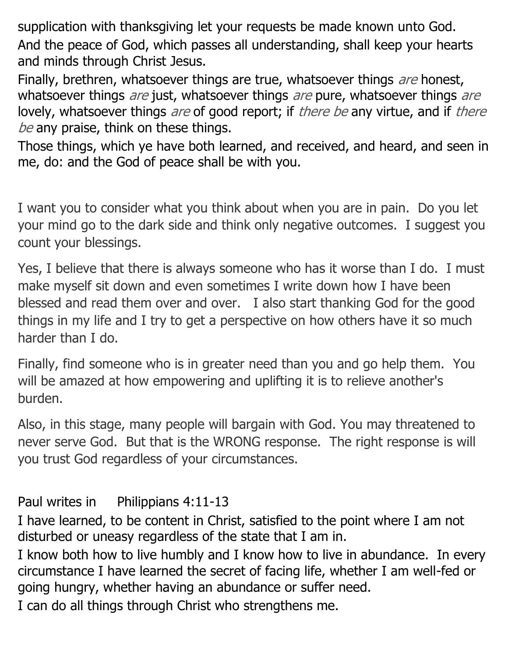supplication with thanksgiving let your requests be made known unto God. And the peace of God, which passes all understanding, shall keep your hearts and minds through Christ Jesus.

Finally, brethren, whatsoever things are true, whatsoever things are honest, whatsoever things *are* just, whatsoever things *are* pure, whatsoever things *are* lovely, whatsoever things are of good report; if there be any virtue, and if there be any praise, think on these things.

Those things, which ye have both learned, and received, and heard, and seen in me, do: and the God of peace shall be with you.

I want you to consider what you think about when you are in pain. Do you let your mind go to the dark side and think only negative outcomes. I suggest you count your blessings.

Yes, I believe that there is always someone who has it worse than I do. I must make myself sit down and even sometimes I write down how I have been blessed and read them over and over. I also start thanking God for the good things in my life and I try to get a perspective on how others have it so much harder than I do.

Finally, find someone who is in greater need than you and go help them. You will be amazed at how empowering and uplifting it is to relieve another's burden.

Also, in this stage, many people will bargain with God. You may threatened to never serve God. But that is the WRONG response. The right response is will you trust God regardless of your circumstances.

Paul writes in Philippians 4:11-13

I have learned, to be content in Christ, satisfied to the point where I am not disturbed or uneasy regardless of the state that I am in.

I know both how to live humbly and I know how to live in abundance. In every circumstance I have learned the secret of facing life, whether I am well-fed or going hungry, whether having an abundance or suffer need.

I can do all things through Christ who strengthens me.